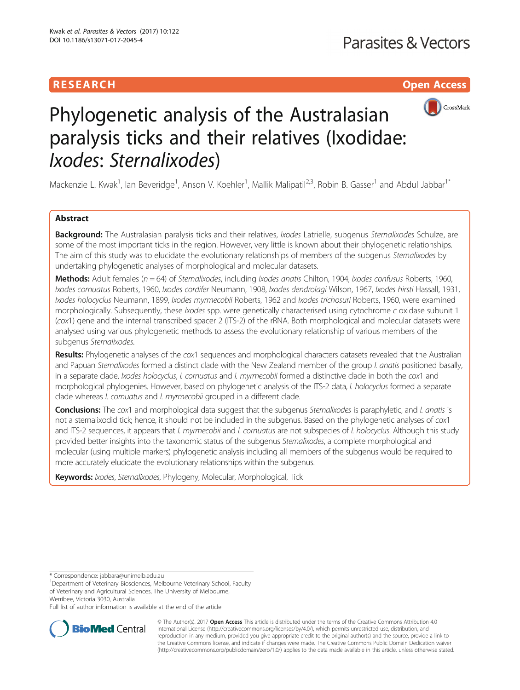# **RESEARCH CHILD CONTROL** CONTROL CONTROL CONTROL CONTROL CONTROL CONTROL CONTROL CONTROL CONTROL CONTROL CONTROL CONTROL CONTROL CONTROL CONTROL CONTROL CONTROL CONTROL CONTROL CONTROL CONTROL CONTROL CONTROL CONTROL CONTR



# Phylogenetic analysis of the Australasian paralysis ticks and their relatives (Ixodidae: Ixodes: Sternalixodes)

Mackenzie L. Kwak<sup>1</sup>, lan Beveridge<sup>1</sup>, Anson V. Koehler<sup>1</sup>, Mallik Malipatil<sup>2,3</sup>, Robin B. Gasser<sup>1</sup> and Abdul Jabbar<sup>1\*</sup>

# Abstract

Background: The Australasian paralysis ticks and their relatives, *Ixodes* Latrielle, subgenus Sternalixodes Schulze, are some of the most important ticks in the region. However, very little is known about their phylogenetic relationships. The aim of this study was to elucidate the evolutionary relationships of members of the subgenus Sternalixodes by undertaking phylogenetic analyses of morphological and molecular datasets.

Methods: Adult females ( $n = 64$ ) of Sternalixodes, including Ixodes anatis Chilton, 1904, Ixodes confusus Roberts, 1960, Ixodes cornuatus Roberts, 1960, Ixodes cordifer Neumann, 1908, Ixodes dendrolagi Wilson, 1967, Ixodes hirsti Hassall, 1931, Ixodes holocyclus Neumann, 1899, Ixodes myrmecobii Roberts, 1962 and Ixodes trichosuri Roberts, 1960, were examined morphologically. Subsequently, these *Ixodes* spp. were genetically characterised using cytochrome c oxidase subunit 1 (cox1) gene and the internal transcribed spacer 2 (ITS-2) of the rRNA. Both morphological and molecular datasets were analysed using various phylogenetic methods to assess the evolutionary relationship of various members of the subgenus Sternalixodes.

Results: Phylogenetic analyses of the cox1 sequences and morphological characters datasets revealed that the Australian and Papuan Sternalixodes formed a distinct clade with the New Zealand member of the group I. anatis positioned basally, in a separate clade. Ixodes holocyclus, I. cornuatus and I. myrmecobii formed a distinctive clade in both the cox1 and morphological phylogenies. However, based on phylogenetic analysis of the ITS-2 data, I. holocyclus formed a separate clade whereas *I. cornuatus* and *I. myrmecobii* grouped in a different clade.

Conclusions: The cox1 and morphological data suggest that the subgenus Sternalixodes is paraphyletic, and I. anatis is not a sternalixodid tick; hence, it should not be included in the subgenus. Based on the phylogenetic analyses of cox1 and ITS-2 sequences, it appears that I. myrmecobii and I. cornuatus are not subspecies of I. holocyclus. Although this study provided better insights into the taxonomic status of the subgenus Sternalixodes, a complete morphological and molecular (using multiple markers) phylogenetic analysis including all members of the subgenus would be required to more accurately elucidate the evolutionary relationships within the subgenus.

Keywords: *Ixodes, Sternalixodes*, Phylogeny, Molecular, Morphological, Tick

\* Correspondence: [jabbara@unimelb.edu.au](mailto:jabbara@unimelb.edu.au) <sup>1</sup>

<sup>1</sup>Department of Veterinary Biosciences, Melbourne Veterinary School, Faculty of Veterinary and Agricultural Sciences, The University of Melbourne, Werribee, Victoria 3030, Australia

Full list of author information is available at the end of the article



© The Author(s). 2017 **Open Access** This article is distributed under the terms of the Creative Commons Attribution 4.0 International License [\(http://creativecommons.org/licenses/by/4.0/](http://creativecommons.org/licenses/by/4.0/)), which permits unrestricted use, distribution, and reproduction in any medium, provided you give appropriate credit to the original author(s) and the source, provide a link to the Creative Commons license, and indicate if changes were made. The Creative Commons Public Domain Dedication waiver [\(http://creativecommons.org/publicdomain/zero/1.0/](http://creativecommons.org/publicdomain/zero/1.0/)) applies to the data made available in this article, unless otherwise stated.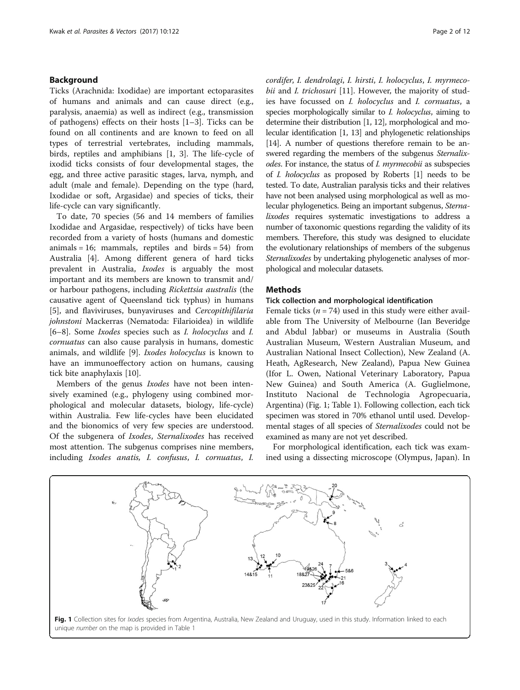## Background

Ticks (Arachnida: Ixodidae) are important ectoparasites of humans and animals and can cause direct (e.g., paralysis, anaemia) as well as indirect (e.g., transmission of pathogens) effects on their hosts [\[1](#page-10-0)–[3\]](#page-10-0). Ticks can be found on all continents and are known to feed on all types of terrestrial vertebrates, including mammals, birds, reptiles and amphibians [[1, 3](#page-10-0)]. The life-cycle of ixodid ticks consists of four developmental stages, the egg, and three active parasitic stages, larva, nymph, and adult (male and female). Depending on the type (hard, Ixodidae or soft, Argasidae) and species of ticks, their life-cycle can vary significantly.

To date, 70 species (56 and 14 members of families Ixodidae and Argasidae, respectively) of ticks have been recorded from a variety of hosts (humans and domestic animals = 16; mammals, reptiles and birds =  $54$ ) from Australia [\[4](#page-10-0)]. Among different genera of hard ticks prevalent in Australia, Ixodes is arguably the most important and its members are known to transmit and/ or harbour pathogens, including Rickettsia australis (the causative agent of Queensland tick typhus) in humans [[5\]](#page-10-0), and flaviviruses, bunyaviruses and Cercopithifilaria johnstoni Mackerras (Nematoda: Filarioidea) in wildlife [[6](#page-10-0)–[8\]](#page-10-0). Some Ixodes species such as I. holocyclus and I. cornuatus can also cause paralysis in humans, domestic animals, and wildlife [[9\]](#page-11-0). Ixodes holocyclus is known to have an immunoeffectory action on humans, causing tick bite anaphylaxis [\[10](#page-11-0)].

Members of the genus Ixodes have not been intensively examined (e.g., phylogeny using combined morphological and molecular datasets, biology, life-cycle) within Australia. Few life-cycles have been elucidated and the bionomics of very few species are understood. Of the subgenera of Ixodes, Sternalixodes has received most attention. The subgenus comprises nine members, including Ixodes anatis, I. confusus, I. cornuatus, I. cordifer, I. dendrolagi, I. hirsti, I. holocyclus, I. myrmecobii and *I. trichosuri* [[11\]](#page-11-0). However, the majority of studies have focussed on I. holocyclus and I. cornuatus, a species morphologically similar to *I. holocyclus*, aiming to determine their distribution [\[1,](#page-10-0) [12\]](#page-11-0), morphological and molecular identification [\[1,](#page-10-0) [13\]](#page-11-0) and phylogenetic relationships [[14](#page-11-0)]. A number of questions therefore remain to be answered regarding the members of the subgenus *Sternalix*odes. For instance, the status of *I. myrmecobii* as subspecies of I. holocyclus as proposed by Roberts [[1](#page-10-0)] needs to be tested. To date, Australian paralysis ticks and their relatives have not been analysed using morphological as well as molecular phylogenetics. Being an important subgenus, Sternalixodes requires systematic investigations to address a number of taxonomic questions regarding the validity of its members. Therefore, this study was designed to elucidate the evolutionary relationships of members of the subgenus Sternalixodes by undertaking phylogenetic analyses of morphological and molecular datasets.

## Methods

### Tick collection and morphological identification

Female ticks ( $n = 74$ ) used in this study were either available from The University of Melbourne (Ian Beveridge and Abdul Jabbar) or museums in Australia (South Australian Museum, Western Australian Museum, and Australian National Insect Collection), New Zealand (A. Heath, AgResearch, New Zealand), Papua New Guinea (Ifor L. Owen, National Veterinary Laboratory, Papua New Guinea) and South America (A. Guglielmone, Instituto Nacional de Technologia Agropecuaria, Argentina) (Fig. 1; Table [1](#page-2-0)). Following collection, each tick specimen was stored in 70% ethanol until used. Developmental stages of all species of Sternalixodes could not be examined as many are not yet described.

For morphological identification, each tick was examined using a dissecting microscope (Olympus, Japan). In



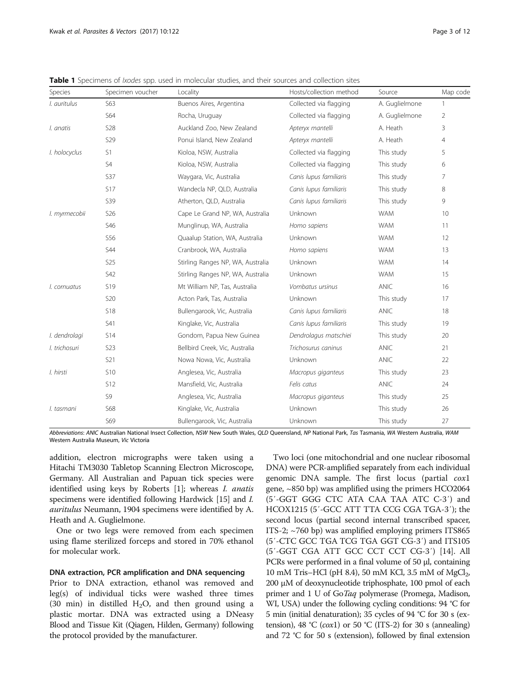| Species       | Specimen voucher | Locality                          | Hosts/collection method | Source         | Map code     |
|---------------|------------------|-----------------------------------|-------------------------|----------------|--------------|
| I. auritulus  | S63              | Buenos Aires, Argentina           | Collected via flagging  | A. Guglielmone | $\mathbf{1}$ |
|               | S64              | Rocha, Uruguay                    | Collected via flagging  | A. Guglielmone | 2            |
| I. anatis     | <b>S28</b>       | Auckland Zoo, New Zealand         | Apteryx mantelli        | A. Heath       | 3            |
|               | <b>S29</b>       | Ponui Island, New Zealand         | Apteryx mantelli        | A. Heath       | 4            |
| I. holocyclus | S1               | Kioloa, NSW, Australia            | Collected via flagging  | This study     | 5            |
|               | S4               | Kioloa, NSW, Australia            | Collected via flagging  | This study     | 6            |
|               | <b>S37</b>       | Waygara, Vic, Australia           | Canis lupus familiaris  | This study     | 7            |
|               | <b>S17</b>       | Wandecla NP, QLD, Australia       | Canis lupus familiaris  | This study     | 8            |
|               | <b>S39</b>       | Atherton, QLD, Australia          | Canis lupus familiaris  | This study     | 9            |
| I. myrmecobii | S <sub>26</sub>  | Cape Le Grand NP, WA, Australia   | <b>Unknown</b>          | <b>WAM</b>     | 10           |
|               | S46              | Munglinup, WA, Australia          | Homo sapiens            | <b>WAM</b>     | 11           |
|               | S56              | Quaalup Station, WA, Australia    | Unknown                 | <b>WAM</b>     | 12           |
|               | <b>S44</b>       | Cranbrook, WA, Australia          | Homo sapiens            | <b>WAM</b>     | 13           |
|               | <b>S25</b>       | Stirling Ranges NP, WA, Australia | Unknown                 | <b>WAM</b>     | 14           |
|               | S42              | Stirling Ranges NP, WA, Australia | Unknown                 | <b>WAM</b>     | 15           |
| I. cornuatus  | <b>S19</b>       | Mt William NP, Tas, Australia     | Vombatus ursinus        | ANIC           | 16           |
|               | <b>S20</b>       | Acton Park, Tas, Australia        | Unknown                 | This study     | 17           |
|               | <b>S18</b>       | Bullengarook, Vic, Australia      | Canis lupus familiaris  | ANIC           | 18           |
|               | S41              | Kinglake, Vic, Australia          | Canis lupus familiaris  | This study     | 19           |
| I. dendrolagi | <b>S14</b>       | Gondom, Papua New Guinea          | Dendrolagus matschiei   | This study     | 20           |
| I. trichosuri | <b>S23</b>       | Bellbird Creek, Vic, Australia    | Trichosurus caninus     | ANIC           | 21           |
|               | <b>S21</b>       | Nowa Nowa, Vic, Australia         | <b>Unknown</b>          | <b>ANIC</b>    | 22           |
| I. hirsti     | <b>S10</b>       | Anglesea, Vic, Australia          | Macropus giganteus      | This study     | 23           |
|               | <b>S12</b>       | Mansfield, Vic, Australia         | Felis catus             | ANIC           | 24           |
|               | S9               | Anglesea, Vic, Australia          | Macropus giganteus      | This study     | 25           |
| I. tasmani    | <b>S68</b>       | Kinglake, Vic, Australia          | Unknown                 | This study     | 26           |
|               | S69              | Bullengarook, Vic, Australia      | Unknown                 | This study     | 27           |

<span id="page-2-0"></span>**Table 1** Specimens of *Ixodes* spp. used in molecular studies, and their sources and collection sites

Abbreviations: ANIC Australian National Insect Collection, NSW New South Wales, QLD Queensland, NP National Park, Tas Tasmania, WA Western Australia, WAM Western Australia Museum, Vic Victoria

addition, electron micrographs were taken using a Hitachi TM3030 Tabletop Scanning Electron Microscope, Germany. All Australian and Papuan tick species were identified using keys by Roberts [\[1](#page-10-0)]; whereas I. anatis specimens were identified following Hardwick [[15\]](#page-11-0) and I. auritulus Neumann, 1904 specimens were identified by A. Heath and A. Guglielmone.

One or two legs were removed from each specimen using flame sterilized forceps and stored in 70% ethanol for molecular work.

## DNA extraction, PCR amplification and DNA sequencing

Prior to DNA extraction, ethanol was removed and leg(s) of individual ticks were washed three times (30 min) in distilled  $H_2O$ , and then ground using a plastic mortar. DNA was extracted using a DNeasy Blood and Tissue Kit (Qiagen, Hilden, Germany) following the protocol provided by the manufacturer.

Two loci (one mitochondrial and one nuclear ribosomal DNA) were PCR-amplified separately from each individual genomic DNA sample. The first locus (partial cox1 gene, ~850 bp) was amplified using the primers HCO2064 (5′-GGT GGG CTC ATA CAA TAA ATC C-3′) and HCOX1215 (5′-GCC ATT TTA CCG CGA TGA-3′); the second locus (partial second internal transcribed spacer, ITS-2; ~760 bp) was amplified employing primers ITS865 (5′-CTC GCC TGA TCG TGA GGT CG-3′) and ITS105 (5′-GGT CGA ATT GCC CCT CCT CG-3′) [[14\]](#page-11-0). All PCRs were performed in a final volume of 50 μl, containing 10 mM Tris–HCl (pH 8.4), 50 mM KCl, 3.5 mM of MgCl<sub>2</sub>, 200 μM of deoxynucleotide triphosphate, 100 pmol of each primer and 1 U of GoTaq polymerase (Promega, Madison, WI, USA) under the following cycling conditions: 94 °C for 5 min (initial denaturation); 35 cycles of 94 °C for 30 s (extension), 48 °C ( $cox1$ ) or 50 °C (ITS-2) for 30 s (annealing) and 72 °C for 50 s (extension), followed by final extension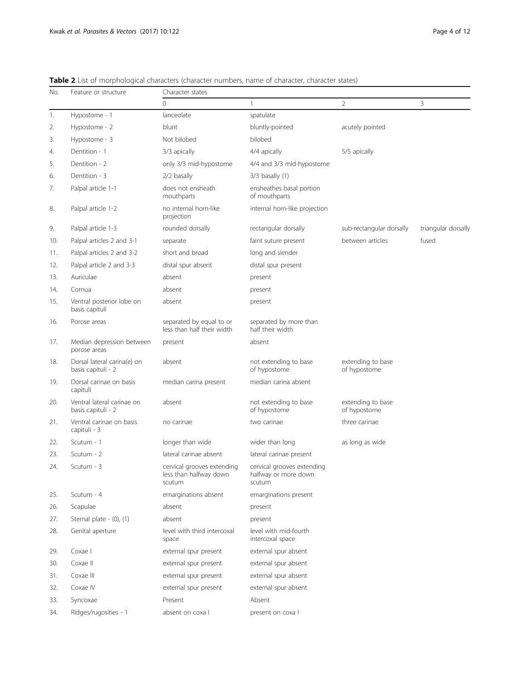| No. | Feature or structure                              | Character states                                               |                                                              |                                   |                     |  |  |  |  |  |  |  |
|-----|---------------------------------------------------|----------------------------------------------------------------|--------------------------------------------------------------|-----------------------------------|---------------------|--|--|--|--|--|--|--|
|     |                                                   | 0                                                              | $\mathbf{1}$                                                 | $\overline{2}$                    | 3                   |  |  |  |  |  |  |  |
| 1.  | Hypostome - 1                                     | lanceolate                                                     | spatulate                                                    |                                   |                     |  |  |  |  |  |  |  |
| 2.  | Hypostome - 2                                     | blunt                                                          | bluntly-pointed                                              | acutely pointed                   |                     |  |  |  |  |  |  |  |
| 3.  | Hypostome - 3                                     | Not bilobed                                                    | bilobed                                                      |                                   |                     |  |  |  |  |  |  |  |
| 4.  | Dentition - 1                                     | 3/3 apically                                                   | 4/4 apically                                                 | 5/5 apically                      |                     |  |  |  |  |  |  |  |
| 5.  | Dentition - 2                                     | only 3/3 mid-hypostome                                         | 4/4 and 3/3 mid-hypostome                                    |                                   |                     |  |  |  |  |  |  |  |
| 6.  | Dentition - 3                                     | 2/2 basally                                                    | $3/3$ basally $(1)$                                          |                                   |                     |  |  |  |  |  |  |  |
| 7.  | Palpal article 1-1                                | does not ensheath<br>mouthparts                                | ensheathes basal portion<br>of mouthparts                    |                                   |                     |  |  |  |  |  |  |  |
| 8.  | Palpal article 1-2                                | no internal horn-like<br>projection                            | internal horn-like projection                                |                                   |                     |  |  |  |  |  |  |  |
| 9.  | Palpal article 1-3                                | rounded dorsally                                               | rectangular dorsally                                         | sub-rectangular dorsally          | triangular dorsally |  |  |  |  |  |  |  |
| 10. | Palpal articles 2 and 3-1                         | separate                                                       | faint suture present                                         | between articles                  | fused               |  |  |  |  |  |  |  |
| 11. | Palpal articles 2 and 3-2                         | short and broad                                                | long and slender                                             |                                   |                     |  |  |  |  |  |  |  |
| 12. | Palpal article 2 and 3-3                          | distal spur absent                                             | distal spur present                                          |                                   |                     |  |  |  |  |  |  |  |
| 13. | Auriculae                                         | absent                                                         | present                                                      |                                   |                     |  |  |  |  |  |  |  |
| 14. | Cornua                                            | absent                                                         | present                                                      |                                   |                     |  |  |  |  |  |  |  |
| 15. | Ventral posterior lobe on<br>basis capituli       | absent                                                         | present                                                      |                                   |                     |  |  |  |  |  |  |  |
| 16. | Porose areas                                      | separated by equal to or<br>less than half their width         | separated by more than<br>half their width                   |                                   |                     |  |  |  |  |  |  |  |
| 17. | Median depression between<br>porose areas         | present                                                        | absent                                                       |                                   |                     |  |  |  |  |  |  |  |
| 18. | Dorsal lateral carina(e) on<br>basis capituli - 2 | absent                                                         | not extending to base<br>of hypostome                        | extending to base<br>of hypostome |                     |  |  |  |  |  |  |  |
| 19. | Dorsal carinae on basis<br>capituli               | median carina present                                          | median carina absent                                         |                                   |                     |  |  |  |  |  |  |  |
| 20. | Ventral lateral carinae on<br>basis capituli - 2  | absent                                                         | not extending to base<br>of hypostome                        | extending to base<br>of hypostome |                     |  |  |  |  |  |  |  |
| 21. | Ventral carinae on basis<br>capituli - 3          | no carinae                                                     | two carinae                                                  | three carinae                     |                     |  |  |  |  |  |  |  |
| 22. | Scutum - 1                                        | longer than wide                                               | wider than long                                              | as long as wide                   |                     |  |  |  |  |  |  |  |
| 23. | Scutum - 2                                        | lateral carinae absent                                         | lateral carinae present                                      |                                   |                     |  |  |  |  |  |  |  |
| 24. | Scutum - 3                                        | cervical grooves extending<br>less than halfway down<br>scutum | cervical grooves extending<br>halfway or more down<br>scutum |                                   |                     |  |  |  |  |  |  |  |
| 25. | Scutum - 4                                        | emarginations absent                                           | emarginations present                                        |                                   |                     |  |  |  |  |  |  |  |
| 26. | Scapulae                                          | absent                                                         | present                                                      |                                   |                     |  |  |  |  |  |  |  |
| 27. | Sternal plate - (0), (1)                          | absent                                                         | present                                                      |                                   |                     |  |  |  |  |  |  |  |
| 28. | Genital aperture                                  | level with third intercoxal<br>space                           | level with mid-fourth<br>intercoxal space                    |                                   |                     |  |  |  |  |  |  |  |
| 29. | Coxae I                                           | external spur present                                          | external spur absent                                         |                                   |                     |  |  |  |  |  |  |  |
| 30. | Coxae II                                          | external spur present                                          | external spur absent                                         |                                   |                     |  |  |  |  |  |  |  |
| 31. | Coxae III                                         | external spur present                                          | external spur absent                                         |                                   |                     |  |  |  |  |  |  |  |
| 32. | Coxae IV                                          | external spur present                                          | external spur absent                                         |                                   |                     |  |  |  |  |  |  |  |
| 33. | Syncoxae                                          | Present                                                        | Absent                                                       |                                   |                     |  |  |  |  |  |  |  |
| 34. | Ridges/rugosities - 1                             | absent on coxa l                                               | present on coxa I                                            |                                   |                     |  |  |  |  |  |  |  |

<span id="page-3-0"></span>Table 2 List of morphological characters (character numbers, name of character, character states)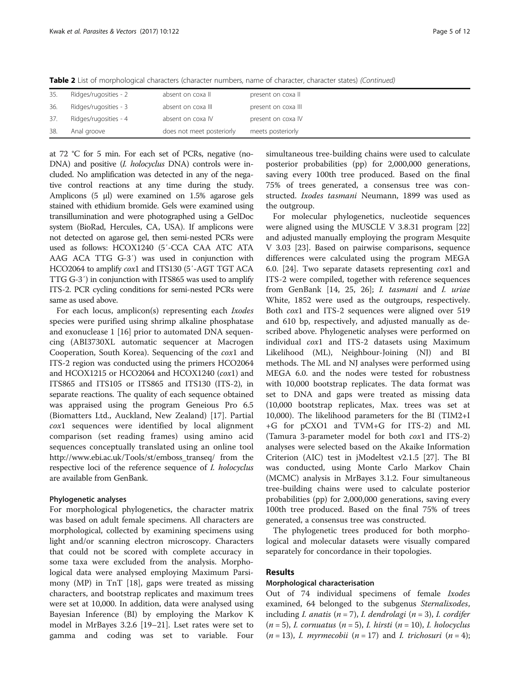Table 2 List of morphological characters (character numbers, name of character, character states) (Continued)

| 35. | Ridges/rugosities - 2 | absent on coxa II         | present on coxa II  |
|-----|-----------------------|---------------------------|---------------------|
| 36. | Ridges/rugosities - 3 | absent on coxa III        | present on coxa III |
| 37. | Ridges/rugosities - 4 | absent on coxa IV         | present on coxa IV  |
| 38. | Anal groove           | does not meet posteriorly | meets posteriorly   |

at 72 °C for 5 min. For each set of PCRs, negative (no-DNA) and positive (*I. holocyclus DNA*) controls were included. No amplification was detected in any of the negative control reactions at any time during the study. Amplicons (5 μl) were examined on 1.5% agarose gels stained with ethidium bromide. Gels were examined using transillumination and were photographed using a GelDoc system (BioRad, Hercules, CA, USA). If amplicons were not detected on agarose gel, then semi-nested PCRs were used as follows: HCOX1240 (5′-CCA CAA ATC ATA AAG ACA TTG G-3′) was used in conjunction with HCO2064 to amplify cox1 and ITS130 (5′-AGT TGT ACA TTG G-3′) in conjunction with ITS865 was used to amplify ITS-2. PCR cycling conditions for semi-nested PCRs were same as used above.

For each locus, amplicon(s) representing each Ixodes species were purified using shrimp alkaline phosphatase and exonuclease 1 [[16](#page-11-0)] prior to automated DNA sequencing (ABI3730XL automatic sequencer at Macrogen Cooperation, South Korea). Sequencing of the cox1 and ITS-2 region was conducted using the primers HCO2064 and HCOX1215 or HCO2064 and HCOX1240 (cox1) and ITS865 and ITS105 or ITS865 and ITS130 (ITS-2), in separate reactions. The quality of each sequence obtained was appraised using the program Geneious Pro 6.5 (Biomatters Ltd., Auckland, New Zealand) [\[17](#page-11-0)]. Partial cox1 sequences were identified by local alignment comparison (set reading frames) using amino acid sequences conceptually translated using an online tool [http://www.ebi.ac.uk/Tools/st/emboss\\_transeq/](http://www.ebi.ac.uk/Tools/st/emboss_transeq/) from the respective loci of the reference sequence of I. holocyclus are available from GenBank.

## Phylogenetic analyses

For morphological phylogenetics, the character matrix was based on adult female specimens. All characters are morphological, collected by examining specimens using light and/or scanning electron microscopy. Characters that could not be scored with complete accuracy in some taxa were excluded from the analysis. Morphological data were analysed employing Maximum Parsimony (MP) in TnT [\[18\]](#page-11-0), gaps were treated as missing characters, and bootstrap replicates and maximum trees were set at 10,000. In addition, data were analysed using Bayesian Inference (BI) by employing the Markov K model in MrBayes 3.2.6 [\[19](#page-11-0)–[21\]](#page-11-0). Lset rates were set to gamma and coding was set to variable. Four

simultaneous tree-building chains were used to calculate posterior probabilities (pp) for 2,000,000 generations, saving every 100th tree produced. Based on the final 75% of trees generated, a consensus tree was constructed. Ixodes tasmani Neumann, 1899 was used as the outgroup.

For molecular phylogenetics, nucleotide sequences were aligned using the MUSCLE V 3.8.31 program [[22](#page-11-0)] and adjusted manually employing the program Mesquite V 3.03 [[23\]](#page-11-0). Based on pairwise comparisons, sequence differences were calculated using the program MEGA 6.0. [[24\]](#page-11-0). Two separate datasets representing cox1 and ITS-2 were compiled, together with reference sequences from GenBank [\[14](#page-11-0), [25](#page-11-0), [26](#page-11-0)]; I. tasmani and I. uriae White, 1852 were used as the outgroups, respectively. Both cox1 and ITS-2 sequences were aligned over 519 and 610 bp, respectively, and adjusted manually as described above. Phylogenetic analyses were performed on individual cox1 and ITS-2 datasets using Maximum Likelihood (ML), Neighbour-Joining (NJ) and BI methods. The ML and NJ analyses were performed using MEGA 6.0. and the nodes were tested for robustness with 10,000 bootstrap replicates. The data format was set to DNA and gaps were treated as missing data (10,000 bootstrap replicates, Max. trees was set at 10,000). The likelihood parameters for the BI (TIM2+I +G for pCXO1 and TVM+G for ITS-2) and ML (Tamura 3-parameter model for both cox1 and ITS-2) analyses were selected based on the Akaike Information Criterion (AIC) test in jModeltest v2.1.5 [\[27\]](#page-11-0). The BI was conducted, using Monte Carlo Markov Chain (MCMC) analysis in MrBayes 3.1.2. Four simultaneous tree-building chains were used to calculate posterior probabilities (pp) for 2,000,000 generations, saving every 100th tree produced. Based on the final 75% of trees generated, a consensus tree was constructed.

The phylogenetic trees produced for both morphological and molecular datasets were visually compared separately for concordance in their topologies.

## Results

## Morphological characterisation

Out of 74 individual specimens of female Ixodes examined, 64 belonged to the subgenus Sternalixodes, including *I. anatis* ( $n = 7$ ), *I. dendrolagi* ( $n = 3$ ), *I. cordifer*  $(n = 5)$ , I. cornuatus  $(n = 5)$ , I. hirsti  $(n = 10)$ , I. holocyclus  $(n = 13)$ , *I. myrmecobii*  $(n = 17)$  and *I. trichosuri*  $(n = 4)$ ;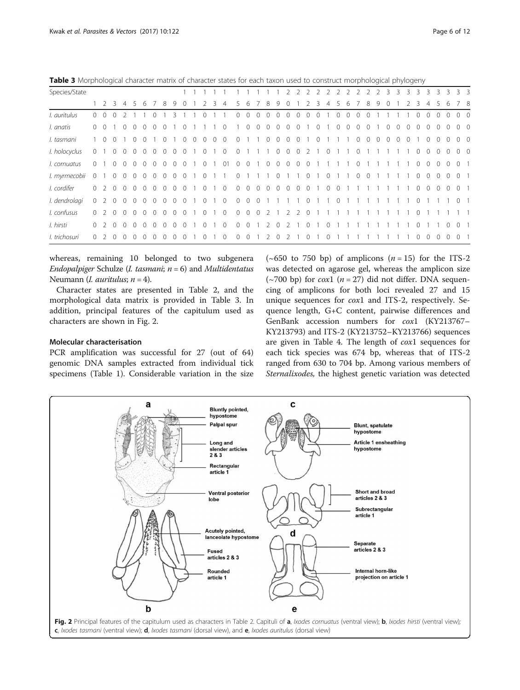Table 3 Morphological character matrix of character states for each taxon used to construct morphological phylogeny

| Species/State |                |             |          |            |                |          |                |                |                   |                |                |             |         |                     |                |                |                          |                |                | $\mathcal{P}$  | 2        | 2                |          | 2 2 2 2 2         |                |          |            | $\overline{2}$ | 2              | 3        | $\overline{\mathbf{3}}$ | 3        | 3        | 3              | 3                 | 3              | 3 <sup>3</sup> |  |
|---------------|----------------|-------------|----------|------------|----------------|----------|----------------|----------------|-------------------|----------------|----------------|-------------|---------|---------------------|----------------|----------------|--------------------------|----------------|----------------|----------------|----------|------------------|----------|-------------------|----------------|----------|------------|----------------|----------------|----------|-------------------------|----------|----------|----------------|-------------------|----------------|----------------|--|
|               |                | $1 \t2 \t3$ |          |            |                | 6        |                | 8              | 9                 |                |                |             |         |                     |                | 6              |                          | 8              | 9              | 0              |          |                  | 3        |                   |                | 6        |            | 8              | 9              |          |                         |          |          |                |                   |                | 7 8            |  |
| I. auritulus  | $\Omega$       | $\Omega$    |          |            |                |          |                |                |                   |                |                |             |         |                     | $\Omega$       | 0              | $\cap$                   | $\Omega$       |                | $\cap$         |          |                  |          |                   |                |          |            |                |                |          |                         |          |          |                |                   |                | 0 <sub>0</sub> |  |
| I. anatis     | $\overline{0}$ | $\Omega$    |          | $\Omega$   | $\Omega$       | $\Omega$ | $\Omega$       | $\Omega$       |                   |                |                |             |         | $\Omega$            |                | $\Omega$       | $\Omega$                 | $\circ$        | $\Omega$       | $\Omega$       | $\Omega$ |                  | $\Omega$ |                   | $\Omega$       | $\Omega$ | $\Omega$   | $\Omega$       |                | $\Omega$ | $\Omega$                | $\Omega$ | $\Omega$ | $\Omega$       | $\Omega$          | $\Omega$       | 0 <sub>0</sub> |  |
| I. tasmani    |                | $1 \quad 0$ | $\Omega$ |            | $\Omega$       | $\Omega$ |                | $\Omega$       |                   | $\Omega$       | $\overline{0}$ | $\Omega$    | $\circ$ | $\Omega$            | $\circ$        |                |                          | $\circ$        | $\overline{0}$ | $\overline{0}$ | $\Omega$ |                  | $\Omega$ |                   |                |          | $\circ$    | $\overline{0}$ | $\overline{0}$ | $\Omega$ | $\overline{0}$          | $\Omega$ |          | $\overline{0}$ | $\circ$           | $\Omega$       | 0 <sub>0</sub> |  |
| I. holocyclus | $\Omega$       |             | $\Omega$ | $\Omega$   | $\Omega$       | $\Omega$ | $\Omega$       | $\Omega$       | $\Omega$          | $\Omega$       |                | $\Omega$    |         | $\cdot$ 0           | $\Omega$       |                | $\overline{\phantom{0}}$ |                |                |                |          | 1 0 0 0 2 1 0    |          |                   |                |          | $\Omega$   |                |                |          |                         |          |          | $0\quad 0$     | $\overline{0}$    | $\Omega$       | 0 <sub>0</sub> |  |
| I. cornuatus  | $\Omega$       |             | $\Omega$ | $\Omega$   | $\Omega$       | $\Omega$ | $\Omega$       | $\circ$        | $\Omega$          | $\Omega$       |                | $\Omega$    |         | $\overline{01}$     | $\overline{0}$ | $\circ$        | 1 0 0 0 0 0              |                |                |                |          |                  |          |                   |                |          | $\Omega$   |                |                |          |                         |          |          | $0\quad 0$     | $\circ$           | $\Omega$       | 0 <sub>1</sub> |  |
| I. myrmecobii | $\overline{0}$ |             |          | $0\quad 0$ | $\overline{0}$ | $\circ$  | $\overline{0}$ |                | $0\quad 0\quad 0$ |                | $\overline{1}$ | $0 \t1 \t1$ |         |                     | $\overline{0}$ |                | 1 1 1 0 1 1 0            |                |                |                |          |                  |          | $1\quad 0$        |                |          | $0\quad 0$ |                | - 1            |          |                         |          |          | $0\quad 0$     | $\overline{0}$    | $\overline{0}$ | 0 <sub>1</sub> |  |
| I. cordifer   |                |             |          | 0200       | $\overline{0}$ | $\circ$  |                | $0\quad 0$     | $\overline{0}$    | $\overline{0}$ |                |             |         | $0 \quad 1 \quad 0$ | $\overline{0}$ |                |                          |                |                |                |          |                  |          | 0 0 0 0 0 0 0 1 0 | $\overline{0}$ |          |            |                |                |          |                         |          |          |                | $0\quad 0\quad 0$ | $\Omega$       | 0 <sub>1</sub> |  |
| I. dendrolagi | $\Omega$       | 2 0         |          | $\circ$    | $\Omega$       | $\circ$  | $\circ$        | $\overline{0}$ | $\circ$           | $\Omega$       | $\overline{1}$ |             |         | $0 \t1 \t0$         | $\circ$        | $\overline{0}$ | $\overline{0}$           |                |                |                |          | $\overline{0}$   |          |                   | $\overline{0}$ |          |            |                |                |          |                         |          | $\circ$  |                |                   |                | 0 <sub>1</sub> |  |
| I. confusus   | $\Omega$       | 2           | $\Omega$ | $\Omega$   |                | $\Omega$ | $\Omega$       | $\Omega$       | $\Omega$          | $\Omega$       |                | $\Omega$    |         | $\Omega$            | $\circ$        | $\overline{0}$ | $\overline{0}$           | 2              |                | 2              | 2        | 0                |          |                   |                |          |            |                |                |          |                         |          | 0        |                |                   |                |                |  |
| I. hirsti     | $\circ$        | 2           | $\Omega$ | $\Omega$   |                | $\Omega$ | $\Omega$       | $\Omega$       | $\Omega$          |                |                |             |         | $\Omega$            | $\circ$        | $\circ$        |                          | $\overline{2}$ | $\Omega$       | -2             |          | $\mathbf{0}$     |          | $\Omega$          |                |          |            |                |                |          |                         |          | $\Omega$ |                |                   | $\Omega$       | 0 <sub>1</sub> |  |
| I. trichosuri | 0              |             |          |            |                |          |                |                |                   |                |                |             |         |                     |                | 0              |                          | 2.             |                |                |          | $\left( \right)$ |          |                   |                |          |            |                |                |          |                         |          | $\Omega$ |                | 0                 |                | $\Omega$       |  |

whereas, remaining 10 belonged to two subgenera Endopalpiger Schulze (*I. tasmani*;  $n = 6$ ) and *Multidentatus* Neumann (*I. auritulus*;  $n = 4$ ).

Character states are presented in Table [2](#page-3-0), and the morphological data matrix is provided in Table 3. In addition, principal features of the capitulum used as characters are shown in Fig. 2.

## Molecular characterisation

PCR amplification was successful for 27 (out of 64) genomic DNA samples extracted from individual tick specimens (Table [1](#page-2-0)). Considerable variation in the size

(~650 to 750 bp) of amplicons  $(n = 15)$  for the ITS-2 was detected on agarose gel, whereas the amplicon size (~700 bp) for *cox*1 ( $n = 27$ ) did not differ. DNA sequencing of amplicons for both loci revealed 27 and 15 unique sequences for cox1 and ITS-2, respectively. Sequence length, G+C content, pairwise differences and GenBank accession numbers for cox1 (KY213767– KY213793) and ITS-2 (KY213752–KY213766) sequences are given in Table [4.](#page-6-0) The length of cox1 sequences for each tick species was 674 bp, whereas that of ITS-2 ranged from 630 to 704 bp. Among various members of Sternalixodes, the highest genetic variation was detected

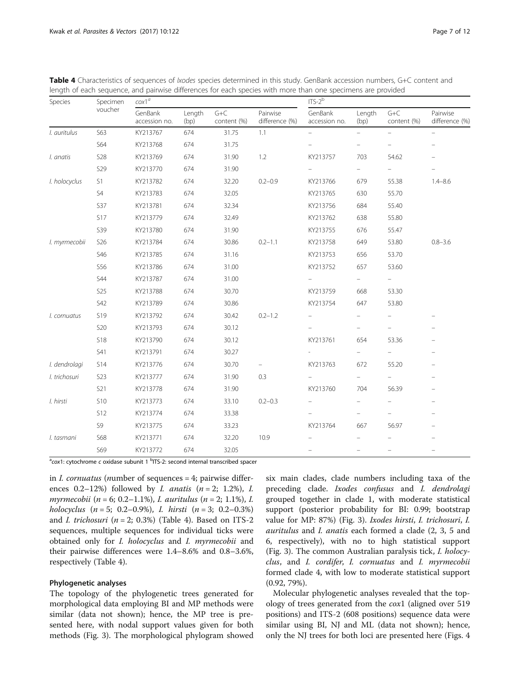| Species       | Specimen   | $\cos 1^a$               |                |                        |                            | $ITS-2b$                 |                          |                          |                                |  |  |  |  |  |
|---------------|------------|--------------------------|----------------|------------------------|----------------------------|--------------------------|--------------------------|--------------------------|--------------------------------|--|--|--|--|--|
|               | voucher    | GenBank<br>accession no. | Length<br>(bp) | $G + C$<br>content (%) | Pairwise<br>difference (%) | GenBank<br>accession no. | Length<br>(bp)           | $G + C$<br>content (%)   | Pairwise<br>difference (%)     |  |  |  |  |  |
| I. auritulus  | S63        | KY213767                 | 674            | 31.75                  | 1.1                        |                          | ÷                        |                          |                                |  |  |  |  |  |
|               | S64        | KY213768                 | 674            | 31.75                  |                            |                          |                          | $\overline{\phantom{0}}$ | $\qquad \qquad \longleftarrow$ |  |  |  |  |  |
| I. anatis     | <b>S28</b> | KY213769                 | 674            | 31.90                  | 1.2                        | KY213757                 | 703                      | 54.62                    |                                |  |  |  |  |  |
|               | S29        | KY213770                 | 674            | 31.90                  |                            |                          | $\qquad \qquad =\qquad$  | $\qquad \qquad -$        |                                |  |  |  |  |  |
| I. holocyclus | S1         | KY213782                 | 674            | 32.20                  | $0.2 - 0.9$                | KY213766                 | 679                      | 55.38                    | $1.4 - 8.6$                    |  |  |  |  |  |
|               | S4         | KY213783                 | 674            | 32.05                  |                            | KY213765                 | 630                      | 55.70                    |                                |  |  |  |  |  |
|               | <b>S37</b> | KY213781                 | 674            | 32.34                  |                            | KY213756                 | 684                      | 55.40                    |                                |  |  |  |  |  |
|               | <b>S17</b> | KY213779                 | 674            | 32.49                  |                            | KY213762                 | 638                      | 55.80                    |                                |  |  |  |  |  |
|               | S39        | KY213780                 | 674            | 31.90                  |                            | KY213755                 | 676                      | 55.47                    |                                |  |  |  |  |  |
| I. myrmecobii | S26        | KY213784                 | 674            | 30.86                  | $0.2 - 1.1$                | KY213758                 | 649                      | 53.80                    | $0.8 - 3.6$                    |  |  |  |  |  |
|               | S46        | KY213785                 | 674            | 31.16                  |                            | KY213753                 | 656                      | 53.70                    |                                |  |  |  |  |  |
|               | S56        | KY213786                 | 674            | 31.00                  |                            | KY213752                 | 657                      | 53.60                    |                                |  |  |  |  |  |
|               | <b>S44</b> | KY213787                 | 674            | 31.00                  |                            |                          |                          | $\qquad \qquad -$        |                                |  |  |  |  |  |
|               | S25        | KY213788                 | 674            | 30.70                  |                            | KY213759                 | 668                      | 53.30                    |                                |  |  |  |  |  |
|               | S42        | KY213789                 | 674            | 30.86                  |                            | KY213754                 | 647                      | 53.80                    |                                |  |  |  |  |  |
| I. cornuatus  | S19        | KY213792                 | 674            | 30.42                  | $0.2 - 1.2$                |                          | $\overline{\phantom{0}}$ |                          |                                |  |  |  |  |  |
|               | <b>S20</b> | KY213793                 | 674            | 30.12                  |                            |                          | -                        | $\qquad \qquad -$        |                                |  |  |  |  |  |
|               | <b>S18</b> | KY213790                 | 674            | 30.12                  |                            | KY213761                 | 654                      | 53.36                    |                                |  |  |  |  |  |
|               | S41        | KY213791                 | 674            | 30.27                  |                            |                          | $\frac{1}{2}$            | $\overline{\phantom{0}}$ |                                |  |  |  |  |  |
| I. dendrolagi | <b>S14</b> | KY213776                 | 674            | 30.70                  | $\qquad \qquad -$          | KY213763                 | 672                      | 55.20                    |                                |  |  |  |  |  |
| I. trichosuri | <b>S23</b> | KY213777                 | 674            | 31.90                  | 0.3                        |                          | ÷.                       | $\equiv$                 |                                |  |  |  |  |  |
|               | <b>S21</b> | KY213778                 | 674            | 31.90                  |                            | KY213760                 | 704                      | 56.39                    |                                |  |  |  |  |  |
| I. hirsti     | <b>S10</b> | KY213773                 | 674            | 33.10                  | $0.2 - 0.3$                |                          |                          |                          |                                |  |  |  |  |  |
|               | <b>S12</b> | KY213774                 | 674            | 33.38                  |                            |                          |                          |                          |                                |  |  |  |  |  |
|               | S9         | KY213775                 | 674            | 33.23                  |                            | KY213764                 | 667                      | 56.97                    |                                |  |  |  |  |  |
| I. tasmani    | <b>S68</b> | KY213771                 | 674            | 32.20                  | 10.9                       |                          |                          |                          |                                |  |  |  |  |  |
|               | S69        | KY213772                 | 674            | 32.05                  |                            |                          |                          |                          |                                |  |  |  |  |  |

<span id="page-6-0"></span>Table 4 Characteristics of sequences of *Ixodes* species determined in this study. GenBank accession numbers, G+C content and length of each sequence, and pairwise differences for each species with more than one specimens are provided

<sup>a</sup>cox1: cytochrome c oxidase subunit 1 <sup>b</sup>ITS-2: second internal transcribed spacer

in I. cornuatus (number of sequences = 4; pairwise differences 0.2–12%) followed by *I. anatis*  $(n = 2; 1.2\%)$ , *I.* myrmecobii (n = 6; 0.2–1.1%), I. auritulus (n = 2; 1.1%), I. holocyclus  $(n = 5; 0.2 - 0.9\%)$ , I. hirsti  $(n = 3; 0.2 - 0.3\%)$ and *I. trichosuri* ( $n = 2$ ; 0.3%) (Table 4). Based on ITS-2 sequences, multiple sequences for individual ticks were obtained only for I. holocyclus and I. myrmecobii and their pairwise differences were 1.4–8.6% and 0.8–3.6%, respectively (Table 4).

## Phylogenetic analyses

The topology of the phylogenetic trees generated for morphological data employing BI and MP methods were similar (data not shown); hence, the MP tree is presented here, with nodal support values given for both methods (Fig. [3\)](#page-7-0). The morphological phylogram showed

six main clades, clade numbers including taxa of the preceding clade. Ixodes confusus and I. dendrolagi grouped together in clade 1, with moderate statistical support (posterior probability for BI: 0.99; bootstrap value for MP: 87%) (Fig. [3\)](#page-7-0). Ixodes hirsti, I. trichosuri, I. auritulus and I. anatis each formed a clade (2, 3, 5 and 6, respectively), with no to high statistical support (Fig. [3](#page-7-0)). The common Australian paralysis tick, I. holocyclus, and I. cordifer, I. cornuatus and I. myrmecobii formed clade 4, with low to moderate statistical support (0.92, 79%).

Molecular phylogenetic analyses revealed that the topology of trees generated from the cox1 (aligned over 519 positions) and ITS-2 (608 positions) sequence data were similar using BI, NJ and ML (data not shown); hence, only the NJ trees for both loci are presented here (Figs. [4](#page-8-0)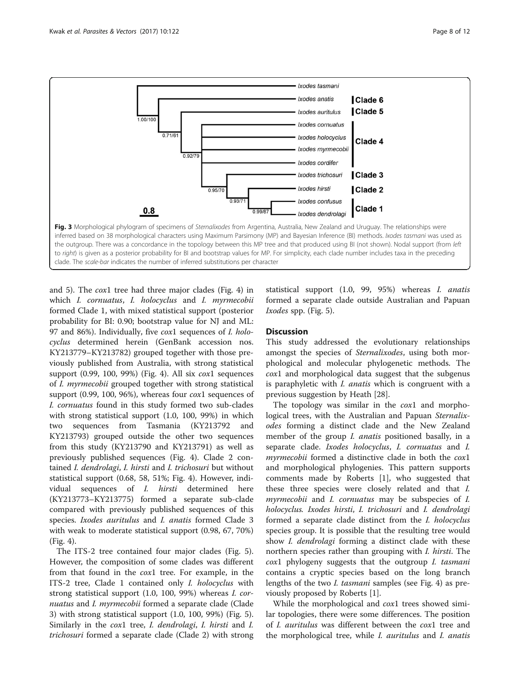<span id="page-7-0"></span>

and [5](#page-9-0)). The cox1 tree had three major clades (Fig. [4\)](#page-8-0) in which I. cornuatus, I. holocyclus and I. myrmecobii formed Clade 1, with mixed statistical support (posterior probability for BI: 0.90; bootstrap value for NJ and ML: 97 and 86%). Individually, five cox1 sequences of *I. holo*cyclus determined herein (GenBank accession nos. KY213779–KY213782) grouped together with those previously published from Australia, with strong statistical support (0.99, 100, 99%) (Fig. [4](#page-8-0)). All six cox1 sequences of I. myrmecobii grouped together with strong statistical support (0.99, 100, 96%), whereas four cox1 sequences of I. cornuatus found in this study formed two sub-clades with strong statistical support (1.0, 100, 99%) in which two sequences from Tasmania (KY213792 and KY213793) grouped outside the other two sequences from this study (KY213790 and KY213791) as well as previously published sequences (Fig. [4\)](#page-8-0). Clade 2 contained I. dendrolagi, I. hirsti and I. trichosuri but without statistical support (0.68, 58, 51%; Fig. [4\)](#page-8-0). However, individual sequences of I. hirsti determined here (KY213773–KY213775) formed a separate sub-clade compared with previously published sequences of this species. Ixodes auritulus and I. anatis formed Clade 3 with weak to moderate statistical support (0.98, 67, 70%) (Fig. [4](#page-8-0)).

The ITS-2 tree contained four major clades (Fig. [5](#page-9-0)). However, the composition of some clades was different from that found in the cox1 tree. For example, in the ITS-2 tree, Clade 1 contained only I. holocyclus with strong statistical support (1.0, 100, 99%) whereas I. cornuatus and *I. myrmecobii* formed a separate clade (Clade 3) with strong statistical support (1.0, 100, 99%) (Fig. [5](#page-9-0)). Similarly in the cox1 tree, I. dendrolagi, I. hirsti and I. trichosuri formed a separate clade (Clade 2) with strong

statistical support (1.0, 99, 95%) whereas I. anatis formed a separate clade outside Australian and Papuan Ixodes spp. (Fig. [5\)](#page-9-0).

## **Discussion**

This study addressed the evolutionary relationships amongst the species of Sternalixodes, using both morphological and molecular phylogenetic methods. The cox1 and morphological data suggest that the subgenus is paraphyletic with *I. anatis* which is congruent with a previous suggestion by Heath [[28](#page-11-0)].

The topology was similar in the cox1 and morphological trees, with the Australian and Papuan Sternalixodes forming a distinct clade and the New Zealand member of the group *I. anatis* positioned basally, in a separate clade. Ixodes holocyclus, I. cornuatus and I. myrmecobii formed a distinctive clade in both the cox1 and morphological phylogenies. This pattern supports comments made by Roberts [[1\]](#page-10-0), who suggested that these three species were closely related and that I. myrmecobii and I. cornuatus may be subspecies of I. holocyclus. Ixodes hirsti, I. trichosuri and I. dendrolagi formed a separate clade distinct from the I. holocyclus species group. It is possible that the resulting tree would show *I. dendrolagi* forming a distinct clade with these northern species rather than grouping with I. hirsti. The cox1 phylogeny suggests that the outgroup I. tasmani contains a cryptic species based on the long branch lengths of the two I. tasmani samples (see Fig. [4](#page-8-0)) as previously proposed by Roberts [[1](#page-10-0)].

While the morphological and *cox*1 trees showed similar topologies, there were some differences. The position of I. auritulus was different between the cox1 tree and the morphological tree, while *I. auritulus* and *I. anatis*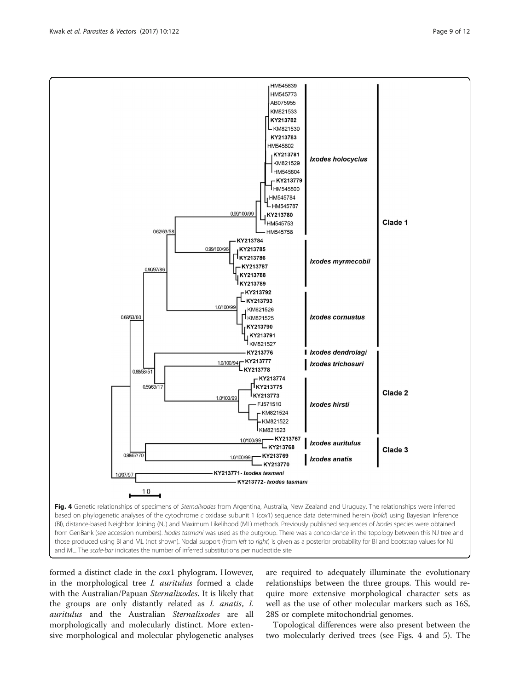formed a distinct clade in the cox1 phylogram. However, in the morphological tree *I. auritulus* formed a clade with the Australian/Papuan Sternalixodes. It is likely that the groups are only distantly related as I. anatis, I. auritulus and the Australian Sternalixodes are all morphologically and molecularly distinct. More extensive morphological and molecular phylogenetic analyses are required to adequately illuminate the evolutionary relationships between the three groups. This would require more extensive morphological character sets as well as the use of other molecular markers such as 16S, 28S or complete mitochondrial genomes.

Topological differences were also present between the two molecularly derived trees (see Figs. 4 and [5\)](#page-9-0). The

<span id="page-8-0"></span>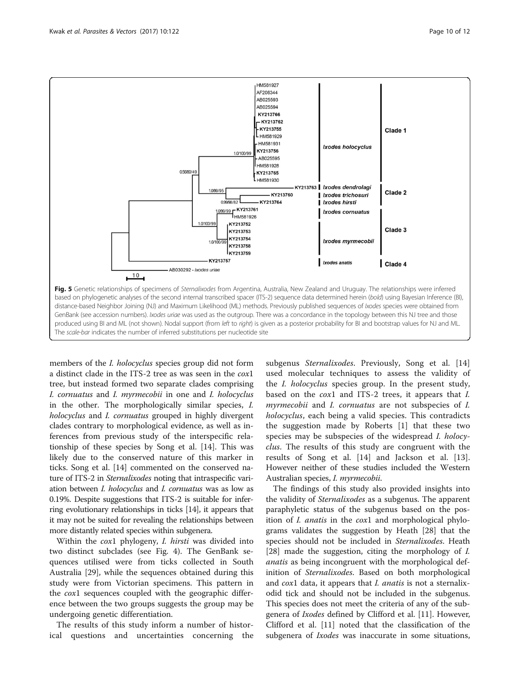<span id="page-9-0"></span>

members of the *I. holocyclus* species group did not form a distinct clade in the ITS-2 tree as was seen in the cox1 tree, but instead formed two separate clades comprising I. cornuatus and I. myrmecobii in one and I. holocyclus in the other. The morphologically similar species, I. holocyclus and *I. cornuatus* grouped in highly divergent clades contrary to morphological evidence, as well as inferences from previous study of the interspecific relationship of these species by Song et al. [\[14\]](#page-11-0). This was likely due to the conserved nature of this marker in ticks. Song et al. [[14\]](#page-11-0) commented on the conserved nature of ITS-2 in Sternalixodes noting that intraspecific variation between I. holocyclus and I. cornuatus was as low as 0.19%. Despite suggestions that ITS-2 is suitable for inferring evolutionary relationships in ticks [[14\]](#page-11-0), it appears that it may not be suited for revealing the relationships between more distantly related species within subgenera.

Within the *cox1* phylogeny, *I. hirsti* was divided into two distinct subclades (see Fig. [4](#page-8-0)). The GenBank sequences utilised were from ticks collected in South Australia [\[29](#page-11-0)], while the sequences obtained during this study were from Victorian specimens. This pattern in the cox1 sequences coupled with the geographic difference between the two groups suggests the group may be undergoing genetic differentiation.

The results of this study inform a number of historical questions and uncertainties concerning the

subgenus *Sternalixodes*. Previously, Song et al. [\[14](#page-11-0)] used molecular techniques to assess the validity of the I. holocyclus species group. In the present study, based on the cox1 and ITS-2 trees, it appears that I. myrmecobii and *I. cornuatus* are not subspecies of *I.* holocyclus, each being a valid species. This contradicts the suggestion made by Roberts [\[1](#page-10-0)] that these two species may be subspecies of the widespread *I. holocy*clus. The results of this study are congruent with the results of Song et al. [[14\]](#page-11-0) and Jackson et al. [\[13](#page-11-0)]. However neither of these studies included the Western Australian species, I. myrmecobii.

The findings of this study also provided insights into the validity of *Sternalixodes* as a subgenus. The apparent paraphyletic status of the subgenus based on the position of I. anatis in the cox1 and morphological phylograms validates the suggestion by Heath [[28\]](#page-11-0) that the species should not be included in Sternalixodes. Heath [[28\]](#page-11-0) made the suggestion, citing the morphology of *I*. anatis as being incongruent with the morphological definition of Sternalixodes. Based on both morphological and *cox*1 data, it appears that *I. anatis* is not a sternalixodid tick and should not be included in the subgenus. This species does not meet the criteria of any of the subgenera of Ixodes defined by Clifford et al. [\[11\]](#page-11-0). However, Clifford et al. [[11\]](#page-11-0) noted that the classification of the subgenera of *Ixodes* was inaccurate in some situations,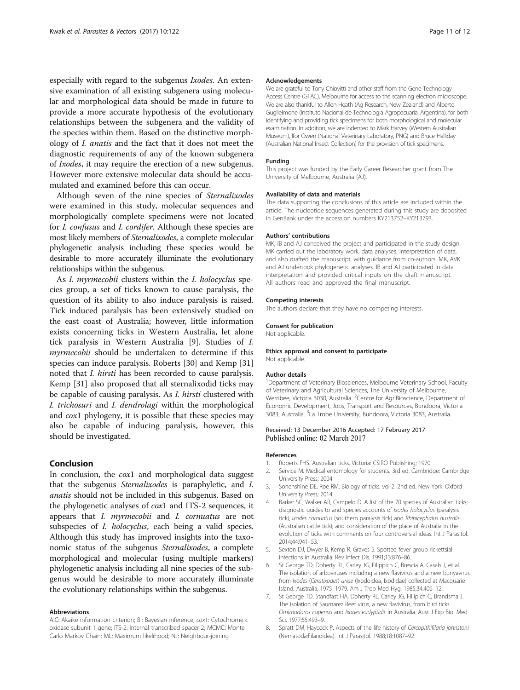<span id="page-10-0"></span>especially with regard to the subgenus Ixodes. An extensive examination of all existing subgenera using molecular and morphological data should be made in future to provide a more accurate hypothesis of the evolutionary relationships between the subgenera and the validity of the species within them. Based on the distinctive morphology of I. anatis and the fact that it does not meet the diagnostic requirements of any of the known subgenera of Ixodes, it may require the erection of a new subgenus. However more extensive molecular data should be accumulated and examined before this can occur.

Although seven of the nine species of Sternalixodes were examined in this study, molecular sequences and morphologically complete specimens were not located for I. confusus and I. cordifer. Although these species are most likely members of Sternalixodes, a complete molecular phylogenetic analysis including these species would be desirable to more accurately illuminate the evolutionary relationships within the subgenus.

As *I. myrmecobii* clusters within the *I. holocyclus* species group, a set of ticks known to cause paralysis, the question of its ability to also induce paralysis is raised. Tick induced paralysis has been extensively studied on the east coast of Australia; however, little information exists concerning ticks in Western Australia, let alone tick paralysis in Western Australia [\[9](#page-11-0)]. Studies of I. myrmecobii should be undertaken to determine if this species can induce paralysis. Roberts [\[30\]](#page-11-0) and Kemp [[31](#page-11-0)] noted that I. hirsti has been recorded to cause paralysis. Kemp [\[31](#page-11-0)] also proposed that all sternalixodid ticks may be capable of causing paralysis. As I. hirsti clustered with I. trichosuri and I. dendrolagi within the morphological and cox1 phylogeny, it is possible that these species may also be capable of inducing paralysis, however, this should be investigated.

## Conclusion

In conclusion, the cox1 and morphological data suggest that the subgenus Sternalixodes is paraphyletic, and I. anatis should not be included in this subgenus. Based on the phylogenetic analyses of cox1 and ITS-2 sequences, it appears that I. myrmecobii and I. cornuatus are not subspecies of *I. holocyclus*, each being a valid species. Although this study has improved insights into the taxonomic status of the subgenus Sternalixodes, a complete morphological and molecular (using multiple markers) phylogenetic analysis including all nine species of the subgenus would be desirable to more accurately illuminate the evolutionary relationships within the subgenus.

#### Abbreviations

AIC: Akaike information criterion; BI: Bayesian inference; cox1: Cytochrome c oxidase subunit 1 gene; ITS-2: Internal transcribed spacer 2; MCMC: Monte Carlo Markov Chain; ML: Maximum likelihood; NJ: Neighbour-joining

#### Acknowledgements

We are grateful to Tony Chiovitti and other staff from the Gene Technology Access Centre (GTAC), Melbourne for access to the scanning electron microscope. We are also thankful to Allen Heath (Ag Research, New Zealand) and Alberto Guglielmone (Instituto Nacional de Technologia Agropecuaria, Argentina), for both identifying and providing tick specimens for both morphological and molecular examination. In addition, we are indented to Mark Harvey (Western Australian Museum), Ifor Owen (National Veterinary Laboratory, PNG) and Bruce Halliday (Australian National Insect Collection) for the provision of tick specimens.

#### Funding

This project was funded by the Early Career Researcher grant from The University of Melbourne, Australia (AJ).

#### Availability of data and materials

The data supporting the conclusions of this article are included within the article. The nucleotide sequences generated during this study are deposited in GenBank under the accession numbers KY213752–KY213793.

#### Authors' contributions

MK, IB and AJ conceived the project and participated in the study design. MK carried out the laboratory work, data analyses, interpretation of data, and also drafted the manuscript, with guidance from co-authors. MK, AVK and AJ undertook phylogenetic analyses. IB and AJ participated in data interpretation and provided critical inputs on the draft manuscript. All authors read and approved the final manuscript.

#### Competing interests

The authors declare that they have no competing interests.

#### Consent for publication

Not applicable.

#### Ethics approval and consent to participate

Not applicable.

## Author details

<sup>1</sup>Department of Veterinary Biosciences, Melbourne Veterinary School, Faculty of Veterinary and Agricultural Sciences, The University of Melbourne, Werribee, Victoria 3030, Australia. <sup>2</sup> Centre for AgriBioscience, Department of Economic Development, Jobs, Transport and Resources, Bundoora, Victoria 3083, Australia. <sup>3</sup>La Trobe University, Bundoora, Victoria 3083, Australia.

#### Received: 13 December 2016 Accepted: 17 February 2017 Published online: 02 March 2017

#### References

- 1. Roberts FHS. Australian ticks. Victoria: CSIRO Publishing; 1970.
- 2. Service M. Medical entomology for students. 3rd ed. Cambridge: Cambridge University Press; 2004.
- 3. Sonenshine DE, Roe RM. Biology of ticks, vol 2. 2nd ed. New York: Oxford University Press; 2014.
- 4. Barker SC, Walker AR, Campelo D. A list of the 70 species of Australian ticks; diagnostic guides to and species accounts of Ixodes holocyclus (paralysis tick), Ixodes cornuatus (southern paralysis tick) and Rhipicephalus australis (Australian cattle tick); and consideration of the place of Australia in the evolution of ticks with comments on four controversial ideas. Int J Parasitol. 2014;44:941–53.
- 5. Sexton DJ, Dwyer B, Kemp R, Graves S. Spotted fever group rickettsial infections in Australia. Rev Infect Dis. 1991;13:876–86.
- 6. St George TD, Doherty RL, Carley JG, Filippich C, Brescia A, Casals J, et al. The isolation of arboviruses including a new flavivirus and a new bunyavirus from Ixodes (Ceratixodes) uriae (Ixodoidea, Ixodidae) collected at Macquarie Island, Australia, 1975–1979. Am J Trop Med Hyg. 1985;34:406–12.
- 7. St George TD, Standfast HA, Doherty RL, Carley JG, Fillipich C, Brandsma J. The isolation of Saumarez Reef virus, a new flavivirus, from bird ticks Ornithodoros capensis and Ixodes eudyptidis in Australia. Aust J Exp Biol Med Sci. 1977;55:493–9.
- 8. Spratt DM, Haycock P. Aspects of the life history of Cercopithifilaria johnstoni (Nematoda:Filarioidea). Int J Parasitol. 1988;18:1087–92.